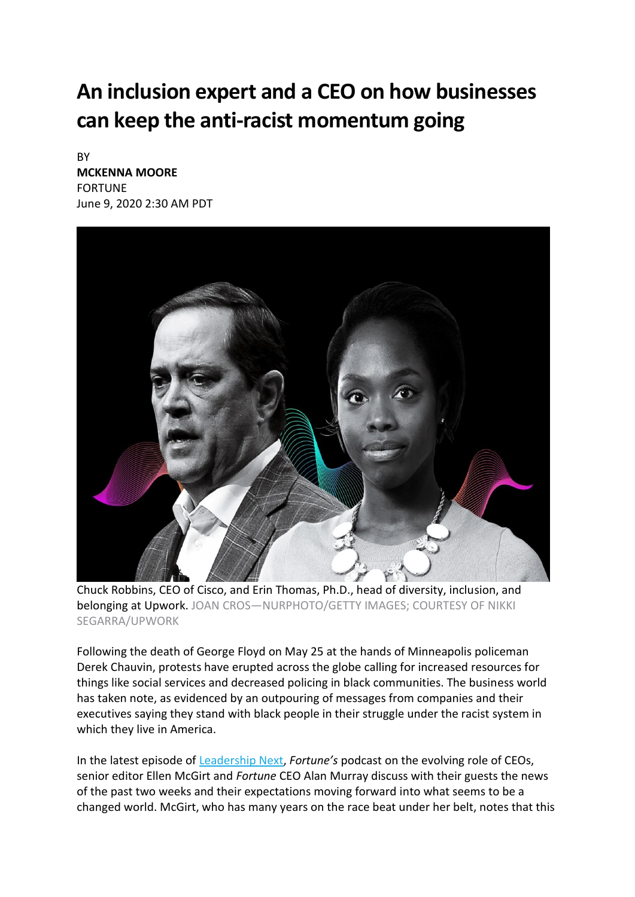## **An inclusion expert and a CEO on how businesses can keep the anti-racist momentum going**

**BY [MCKENNA](https://fortune.com/author/mckenna-moore/) MOORE** FORTUNE June 9, 2020 2:30 AM PDT



Chuck Robbins, CEO of Cisco, and Erin Thomas, Ph.D., head of diversity, inclusion, and belonging at Upwork. JOAN CROS—NURPHOTO/GETTY IMAGES; COURTESY OF NIKKI SEGARRA/UPWORK

Following the death of George Floyd on May 25 at the hands of Minneapolis policeman Derek Chauvin, protests have erupted across the globe calling for increased resources for things like social services and decreased policing in black communities. The business world has taken note, as evidenced by an outpouring of messages from companies and their executives saying they stand with black people in their struggle under the racist system in which they live in America.

In the latest episode of [Leadership](https://fortune.com/tag/leadership-next/) Next, *Fortune's* podcast on the evolving role of CEOs, senior editor Ellen McGirt and *Fortune* CEO Alan Murray discuss with their guests the news of the past two weeks and their expectations moving forward into what seems to be a changed world. McGirt, who has many years on the race beat under her belt, notes that this